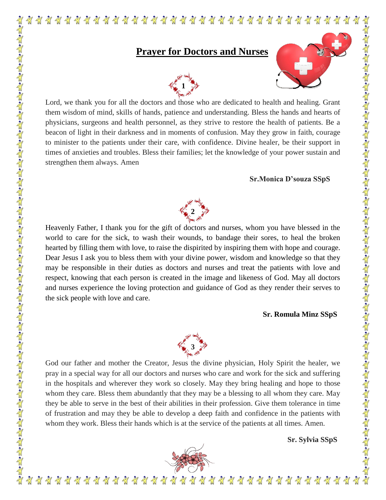## **Prayer for Doctors and Nurses**



Lord, we thank you for all the doctors and those who are dedicated to health and healing. Grant them wisdom of mind, skills of hands, patience and understanding. Bless the hands and hearts of physicians, surgeons and health personnel, as they strive to restore the health of patients. Be a beacon of light in their darkness and in moments of confusion. May they grow in faith, courage to minister to the patients under their care, with confidence. Divine healer, be their support in times of anxieties and troubles. Bless their families; let the knowledge of your power sustain and strengthen them always. Amen

## **Sr.Monica D'souza SSpS**

 $\frac{1}{2}$ 

Til



Heavenly Father, I thank you for the gift of doctors and nurses, whom you have blessed in the world to care for the sick, to wash their wounds, to bandage their sores, to heal the broken hearted by filling them with love, to raise the dispirited by inspiring them with hope and courage. Dear Jesus I ask you to bless them with your divine power, wisdom and knowledge so that they may be responsible in their duties as doctors and nurses and treat the patients with love and respect, knowing that each person is created in the image and likeness of God. May all doctors and nurses experience the loving protection and guidance of God as they render their serves to the sick people with love and care.

## **Sr. Romula Minz SSpS**



God our father and mother the Creator, Jesus the divine physician, Holy Spirit the healer, we pray in a special way for all our doctors and nurses who care and work for the sick and suffering in the hospitals and wherever they work so closely. May they bring healing and hope to those whom they care. Bless them abundantly that they may be a blessing to all whom they care. May they be able to serve in the best of their abilities in their profession. Give them tolerance in time of frustration and may they be able to develop a deep faith and confidence in the patients with whom they work. Bless their hands which is at the service of the patients at all times. Amen.

 **Sr. Sylvia SSpS**

 $\frac{1}{2}$ 



 $\frac{1}{2}$   $\frac{1}{2}$   $\frac{1}{2}$